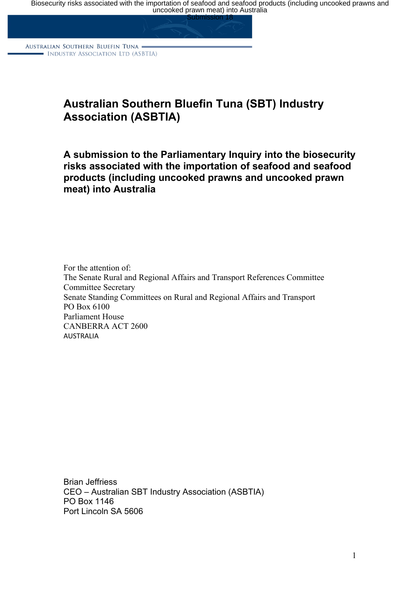Biosecurity risks associated with the importation of seafood and seafood products (including uncooked prawns and<br>uncooked prawn meat) into Australia

AUSTRALIAN SOUTHERN BLUEFIN TUNA . - INDUSTRY ASSOCIATION LTD (ASBTIA)

# **Australian Southern Bluefin Tuna (SBT) Industry Association (ASBTIA)**

## **A submission to the Parliamentary Inquiry into the biosecurity risks associated with the importation of seafood and seafood products (including uncooked prawns and uncooked prawn meat) into Australia**

For the attention of: The Senate Rural and Regional Affairs and Transport References Committee Committee Secretary Senate Standing Committees on Rural and Regional Affairs and Transport PO Box 6100 Parliament House CANBERRA ACT 2600 AUSTRALIA

Brian Jeffriess CEO – Australian SBT Industry Association (ASBTIA) PO Box 1146 Port Lincoln SA 5606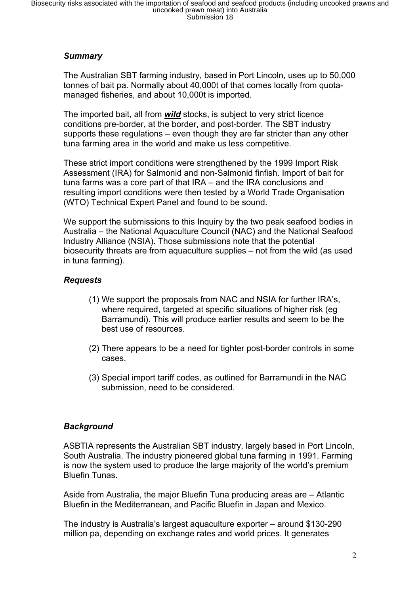#### *Summary*

The Australian SBT farming industry, based in Port Lincoln, uses up to 50,000 tonnes of bait pa. Normally about 40,000t of that comes locally from quotamanaged fisheries, and about 10,000t is imported.

The imported bait, all from *wild* stocks, is subject to very strict licence conditions pre-border, at the border, and post-border. The SBT industry supports these regulations – even though they are far stricter than any other tuna farming area in the world and make us less competitive.

These strict import conditions were strengthened by the 1999 Import Risk Assessment (IRA) for Salmonid and non-Salmonid finfish. Import of bait for tuna farms was a core part of that IRA – and the IRA conclusions and resulting import conditions were then tested by a World Trade Organisation (WTO) Technical Expert Panel and found to be sound.

We support the submissions to this Inquiry by the two peak seafood bodies in Australia – the National Aquaculture Council (NAC) and the National Seafood Industry Alliance (NSIA). Those submissions note that the potential biosecurity threats are from aquaculture supplies – not from the wild (as used in tuna farming).

#### *Requests*

- (1) We support the proposals from NAC and NSIA for further IRA's, where required, targeted at specific situations of higher risk (eg Barramundi). This will produce earlier results and seem to be the best use of resources.
- (2) There appears to be a need for tighter post-border controls in some cases.
- (3) Special import tariff codes, as outlined for Barramundi in the NAC submission, need to be considered.

## *Background*

ASBTIA represents the Australian SBT industry, largely based in Port Lincoln, South Australia. The industry pioneered global tuna farming in 1991. Farming is now the system used to produce the large majority of the world's premium Bluefin Tunas.

Aside from Australia, the major Bluefin Tuna producing areas are – Atlantic Bluefin in the Mediterranean, and Pacific Bluefin in Japan and Mexico.

The industry is Australia's largest aquaculture exporter – around \$130-290 million pa, depending on exchange rates and world prices. It generates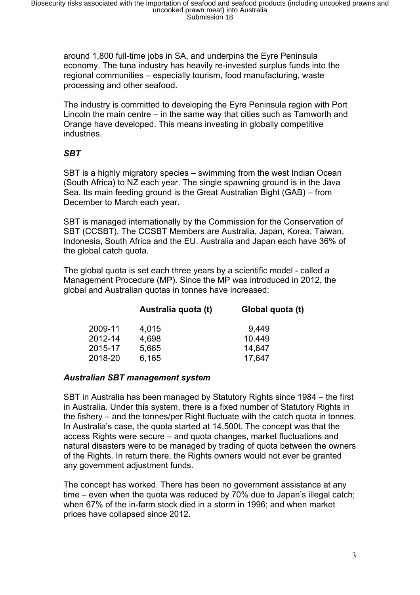around 1,800 full-time jobs in SA, and underpins the Eyre Peninsula economy. The tuna industry has heavily re-invested surplus funds into the regional communities – especially tourism, food manufacturing, waste processing and other seafood.

The industry is committed to developing the Eyre Peninsula region with Port Lincoln the main centre – in the same way that cities such as Tamworth and Orange have developed. This means investing in globally competitive industries.

## *SBT*

SBT is a highly migratory species – swimming from the west Indian Ocean (South Africa) to NZ each year. The single spawning ground is in the Java Sea. Its main feeding ground is the Great Australian Bight (GAB) – from December to March each year.

SBT is managed internationally by the Commission for the Conservation of SBT (CCSBT). The CCSBT Members are Australia, Japan, Korea, Taiwan, Indonesia, South Africa and the EU. Australia and Japan each have 36% of the global catch quota.

The global quota is set each three years by a scientific model - called a Management Procedure (MP). Since the MP was introduced in 2012, the global and Australian quotas in tonnes have increased:

|         | Australia quota (t) | Global quota (t) |  |
|---------|---------------------|------------------|--|
| 2009-11 | 4,015               | 9,449            |  |
| 2012-14 | 4,698               | 10.449           |  |
| 2015-17 | 5,665               | 14,647           |  |
| 2018-20 | 6,165               | 17,647           |  |

#### *Australian SBT management system*

SBT in Australia has been managed by Statutory Rights since 1984 – the first in Australia. Under this system, there is a fixed number of Statutory Rights in the fishery – and the tonnes/per Right fluctuate with the catch quota in tonnes. In Australia's case, the quota started at 14,500t. The concept was that the access Rights were secure – and quota changes, market fluctuations and natural disasters were to be managed by trading of quota between the owners of the Rights. In return there, the Rights owners would not ever be granted any government adjustment funds.

The concept has worked. There has been no government assistance at any time – even when the quota was reduced by 70% due to Japan's illegal catch; when 67% of the in-farm stock died in a storm in 1996; and when market prices have collapsed since 2012.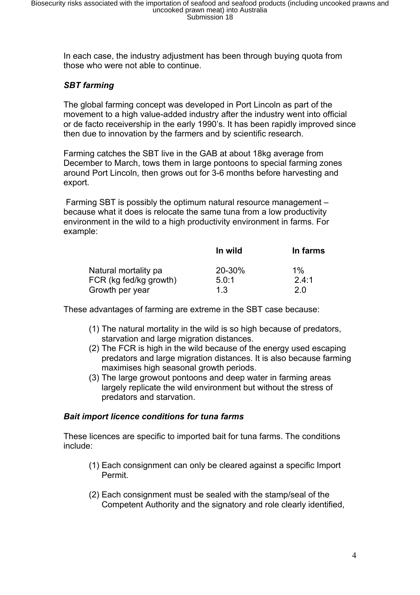In each case, the industry adjustment has been through buying quota from those who were not able to continue.

## *SBT farming*

The global farming concept was developed in Port Lincoln as part of the movement to a high value-added industry after the industry went into official or de facto receivership in the early 1990's. It has been rapidly improved since then due to innovation by the farmers and by scientific research.

Farming catches the SBT live in the GAB at about 18kg average from December to March, tows them in large pontoons to special farming zones around Port Lincoln, then grows out for 3-6 months before harvesting and export.

Farming SBT is possibly the optimum natural resource management – because what it does is relocate the same tuna from a low productivity environment in the wild to a high productivity environment in farms. For example:

|                        | In wild | In farms |
|------------------------|---------|----------|
| Natural mortality pa   | 20-30%  | $1\%$    |
| FCR (kg fed/kg growth) | 5.0:1   | 2.4:1    |
| Growth per year        | 1.3     | 2.0      |

These advantages of farming are extreme in the SBT case because:

- (1) The natural mortality in the wild is so high because of predators, starvation and large migration distances.
- (2) The FCR is high in the wild because of the energy used escaping predators and large migration distances. It is also because farming maximises high seasonal growth periods.
- (3) The large growout pontoons and deep water in farming areas largely replicate the wild environment but without the stress of predators and starvation.

#### *Bait import licence conditions for tuna farms*

These licences are specific to imported bait for tuna farms. The conditions include:

- (1) Each consignment can only be cleared against a specific Import Permit.
- (2) Each consignment must be sealed with the stamp/seal of the Competent Authority and the signatory and role clearly identified,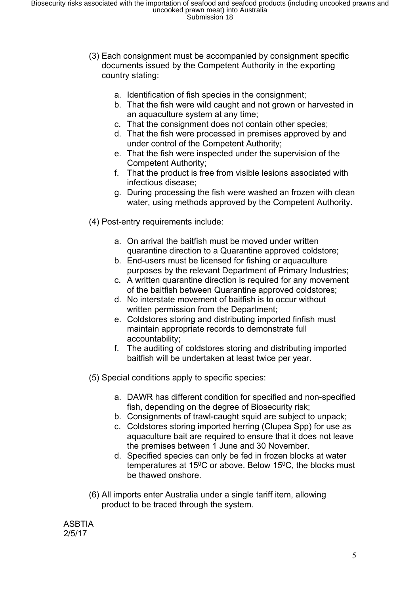- (3) Each consignment must be accompanied by consignment specific documents issued by the Competent Authority in the exporting country stating:
	- a. Identification of fish species in the consignment;
	- b. That the fish were wild caught and not grown or harvested in an aquaculture system at any time;
	- c. That the consignment does not contain other species;
	- d. That the fish were processed in premises approved by and under control of the Competent Authority;
	- e. That the fish were inspected under the supervision of the Competent Authority;
	- f. That the product is free from visible lesions associated with infectious disease;
	- g. During processing the fish were washed an frozen with clean water, using methods approved by the Competent Authority.
- (4) Post-entry requirements include:
	- a. On arrival the baitfish must be moved under written quarantine direction to a Quarantine approved coldstore;
	- b. End-users must be licensed for fishing or aquaculture purposes by the relevant Department of Primary Industries;
	- c. A written quarantine direction is required for any movement of the baitfish between Quarantine approved coldstores;
	- d. No interstate movement of baitfish is to occur without written permission from the Department;
	- e. Coldstores storing and distributing imported finfish must maintain appropriate records to demonstrate full accountability;
	- f. The auditing of coldstores storing and distributing imported baitfish will be undertaken at least twice per year.
- (5) Special conditions apply to specific species:
	- a. DAWR has different condition for specified and non-specified fish, depending on the degree of Biosecurity risk;
	- b. Consignments of trawl-caught squid are subject to unpack;
	- c. Coldstores storing imported herring (Clupea Spp) for use as aquaculture bait are required to ensure that it does not leave the premises between 1 June and 30 November.
	- d. Specified species can only be fed in frozen blocks at water temperatures at 15 $\degree$ C or above. Below 15 $\degree$ C, the blocks must be thawed onshore.
- (6) All imports enter Australia under a single tariff item, allowing product to be traced through the system.

**ASBTIA** 2/5/17